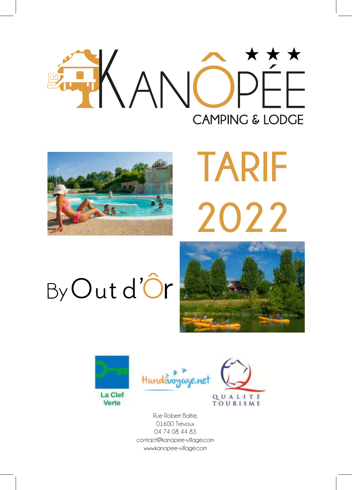



# **TARIF 2022**

## By Out d'Ôr









Rue Robert Baltie, 01600 Trévoux 04 74 08 44 83 contact@kanopee-village.com www.kanopee-village.com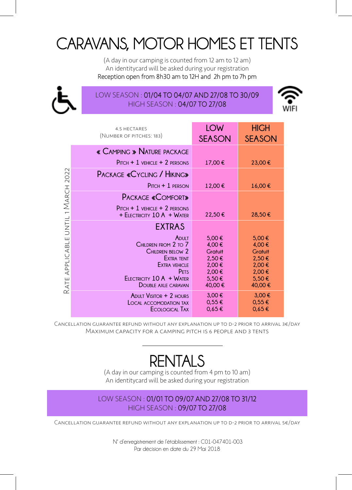## CARAVANS, MOTOR HOMES ET TENTS

(A day in our camping is counted from 12 am to 12 am) An identitycard will be asked during your registration Reception open from 8h30 am to 12H and 2h pm to 7h pm



#### LOW SEASON : 01/04 TO 04/07 AND 27/08 TO 30/09 HIGH SEASON : 04/07 TO 27/08



|                             | 4.5 HECTARES<br>(NUMBER OF PITCHES: 183)                                                                                                                                            | LOW<br><b>SEASON</b>                                                           | <b>HIGH</b><br><b>SEASON</b>                                                   |
|-----------------------------|-------------------------------------------------------------------------------------------------------------------------------------------------------------------------------------|--------------------------------------------------------------------------------|--------------------------------------------------------------------------------|
| 2022                        | « CAMPING » NATURE PACKAGE                                                                                                                                                          |                                                                                |                                                                                |
|                             | $P$ ITCH + 1 VEHICLE + 2 PERSONS                                                                                                                                                    | 17,00€                                                                         | 23,00 €                                                                        |
|                             | <b>PACKAGE «CYCLING / HIKING»</b>                                                                                                                                                   |                                                                                |                                                                                |
|                             | $P$ ITCH + 1 PERSON                                                                                                                                                                 | 12.00€                                                                         | 16.00€                                                                         |
| MARCH                       | <b>PACKAGE «COMFORT»</b>                                                                                                                                                            |                                                                                |                                                                                |
| UNTIL1<br>APPLICABLE<br>ATE | $P$ ITCH + 1 VEHICLE + 2 PERSONS<br>$+$ ELECTRICITY 10 A $+$ Water                                                                                                                  | 22,50€                                                                         | 28,50€                                                                         |
|                             | <b>EXTRAS</b>                                                                                                                                                                       |                                                                                |                                                                                |
|                             | ADULT<br>CHILDREN FROM 2 TO 7<br><b>CHILDREN BELOW 2</b><br><b>EXTRA TENT</b><br><b>EXTRA VEHICLE</b><br><b>PFTS</b><br>$F$ LECTRICITY 10 A $+$ Water<br><b>DOUBLE AXLE CARAVAN</b> | 5.00€<br>4,00€<br><b>Gratuit</b><br>2.50€<br>2,00€<br>2,00€<br>5,50€<br>40,00€ | 5.00€<br>4.00€<br><b>Gratuit</b><br>2.50€<br>2,00€<br>2,00€<br>5,50€<br>40,00€ |
| ∼                           | <b>ADULT VISITOR + 2 HOURS</b><br><b>LOCAL ACCOMODATION TAX</b><br>ECOLOGICAL TAX                                                                                                   | 3,00€<br>$0.55 \in$<br>$0.65 \in$                                              | 3.00€<br>$0.55 \in$<br>$0.65 \in$                                              |

Cancellation guarantee refund without any explanation up to d-2 prior to arrival 3€/day Maximum capacity for a camping pitch is 6 people and 3 tents

## RENTALS

(A day in our camping is counted from 4 pm to 10 am) An identitycard will be asked during your registration

#### LOW SEASON : 01/01 TO 09/07 AND 27/08 TO 31/12 HIGH SEASON : 09/07 TO 27/08

Cancellation guarantee refund without any explanation up to d-2 prior to arrival 5€/day

 N° d'enregistrement de l'établissement : C01-047401-003 Par décision en date du 29 Mai 2018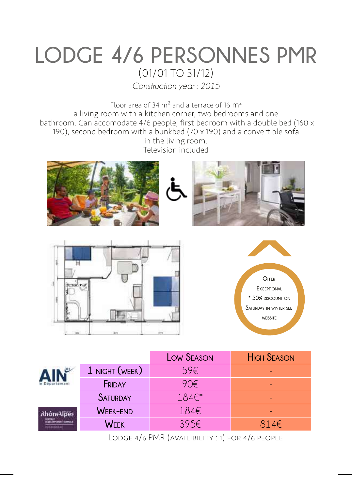## **LODGE 4/6 PERSONNES PMR** (01/01 TO 31/12)

*Construction year : 2015*

Floor area of 34  $m<sup>2</sup>$  and a terrace of 16  $m<sup>2</sup>$ a living room with a kitchen corner, two bedrooms and one bathroom. Can accomodate 4/6 people, first bedroom with a double bed (160 x 190), second bedroom with a bunkbed (70 x 190) and a convertible sofa in the living room. Television included











|            |                 | <b>LOW SEASON</b> | <b>HIGH SEASON</b> |
|------------|-----------------|-------------------|--------------------|
|            | 1 NIGHT (WEEK)  | 59€               |                    |
|            | FRIDAY          | 90€               |                    |
|            | <b>SATURDAY</b> | 184€*             |                    |
| RhôneAlpes | <b>WEEK-END</b> | 184€              |                    |
|            | WEEK            | 395€              | 814E               |

Lodge 4/6 PMR (availibility : 1) for 4/6 people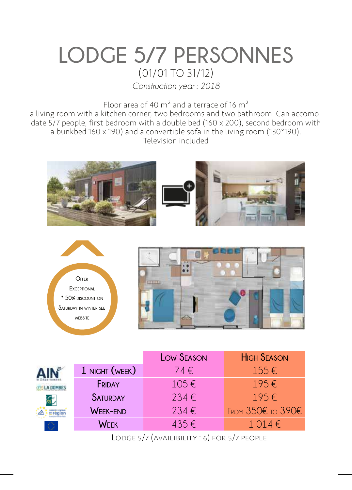## **LODGE 5/7 PERSONNES** (01/01 TO 31/12)

*Construction year : 2018*

Floor area of 40  $m<sup>2</sup>$  and a terrace of 16  $m<sup>2</sup>$ 

a living room with a kitchen corner, two bedrooms and two bathroom. Can accomodate 5/7 people, first bedroom with a double bed (160 x 200), second bedroom with a bunkbed 160 x 190) and a convertible sofa in the living room (130°190). Television included





|                       |                 | <b>LOW SEASON</b> | <b>HIGH SEASON</b> |
|-----------------------|-----------------|-------------------|--------------------|
|                       | 1 NIGHT (WEEK)  | 74€               | $155 \in$          |
|                       | FRIDAY          | $105 \in$         | $195 \in$          |
| $\mathbf{S}^{\prime}$ | <b>SATURDAY</b> | 234€              | $195 \in$          |
|                       | WEEK-END        | 234€              | FROM 350€ TO 390€  |
| 0                     | WFFK            | $435 \in$         | $1.014 \in$        |

Lodge 5/7 (availibility : 6) for 5/7 people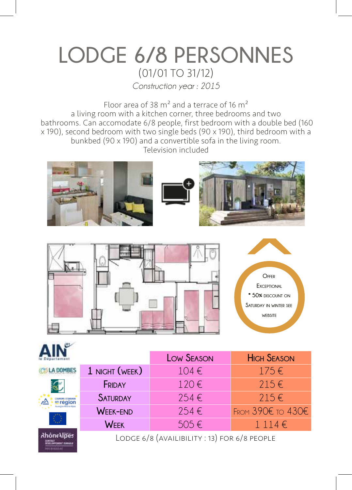## **LODGE 6/8 PERSONNES** (01/01 TO 31/12)

*Construction year : 2015*

Floor area of 38  $m<sup>2</sup>$  and a terrace of 16  $m<sup>2</sup>$ a living room with a kitchen corner, three bedrooms and two bathrooms. Can accomodate 6/8 people, first bedroom with a double bed (160 x 190), second bedroom with two single beds (90 x 190), third bedroom with a bunkbed (90 x 190) and a convertible sofa in the living room. Television included





 $108$ 



|           |                                              | <b>LOW SEASON</b> | <b>HIGH SEASON</b>    |
|-----------|----------------------------------------------|-------------------|-----------------------|
|           | 1 NIGHT (WEEK)                               | 104€              | $175 \in$             |
|           | FRIDAY                                       | 120€              | $215 \in$             |
| en région | <b>SATURDAY</b>                              | 254€              | $215 \in$             |
|           | <b>WEEK-END</b>                              | 254€              | FROM $390E$ TO $430E$ |
|           | <b>WEEK</b>                                  | 505€              | $1\;114 \in$          |
|           | LODGE 6/8 (AVAILIBILITY : 13) FOR 6/8 PEOPLE |                   |                       |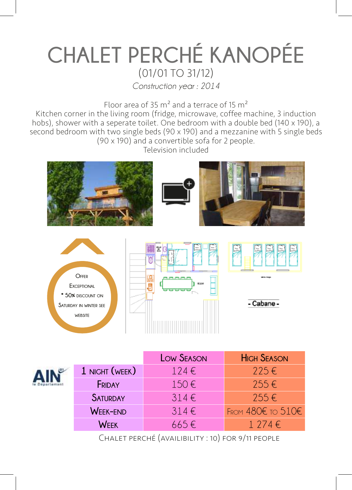## **CHALET PERCHÉ KANOPÉE** (01/01 TO 31/12)

*Construction year : 2014*

Floor area of 35  $m<sup>2</sup>$  and a terrace of 15  $m<sup>2</sup>$ 

Kitchen corner in the living room (fridge, microwave, coffee machine, 3 induction hobs), shower with a seperate toilet. One bedroom with a double bed (140 x 190), a second bedroom with two single beds (90 x 190) and a mezzanine with 5 single beds (90 x 190) and a convertible sofa for 2 people. Television included





|                 | <b>LOW SEASON</b> | <b>HIGH SEASON</b>    |
|-----------------|-------------------|-----------------------|
| 1 NIGHT (WEEK)  | $124 \in$         | $225 \in$             |
| FRIDAY          | 150€              | $255 \in$             |
| <b>SATURDAY</b> | $314 \in$         | $755 \in$             |
| <b>WEEK-END</b> | $314 \in$         | FROM $480E$ TO $510E$ |
| WFFK            | $665 \in$         | 1 274 $\epsilon$      |

Chalet perché (availibility : 10) for 9/11 people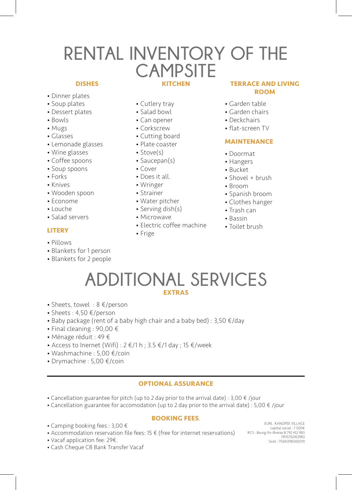### **KITCHEN RENTAL INVENTORY OF THE CAMPSITE**

#### **DISHES**

- Dinner plates
- Soup plates
- Dessert plates
- Bowls
- Mugs
- Glasses
- Lemonade glasses
- Wine glasses
- Coffee spoons
- Soup spoons
- Forks
- Knives
- Wooden spoon
- Econome
- Louche
- Salad servers

#### **LITERY**

- Pillows
- Blankets for 1 person
- Blankets for 2 people
- Cutlery tray
- Salad bowl
- Can opener
- Corkscrew
- Cutting board
- Plate coaster
- Stove(s)
- Saucepan(s)
- Cover
- Does it all.
- Wringer
- Strainer
- Water pitcher
- Serving dish(s)
- Microwave
- Electric coffee machine

#### • Frige

#### **TERRACE AND LIVING ROOM**

- Garden table
- Garden chairs
- Deckchairs
- flat-screen TV

#### **MAINTENANCE**

- Doormat
- Hangers
- Bucket
- Shovel + brush
- Broom
- Spanish broom
- Clothes hanger
- Trash can
- Bassin
- Toilet brush
- **ADDITIONAL SERVICES EXTRAS**
- Sheets, towel : 8 €/person
- Sheets : 4,50 €/person
- Baby package (rent of a baby high chair and a baby bed) :  $3,50 \in$ /day
- Final cleaning : 90,00 €
- Ménage réduit : 49 €
- Access to Inernet (Wifi) :  $2 \notin /1$  h ;  $3.5 \notin /1$  day ;  $15 \notin /$  week
- Washmachine : 5,00 €/coin
- Drymachine : 5,00 €/coin

#### **OPTIONAL ASSURANCE**

- Cancellation guarantee for pitch (up to 2 day prior to the arrival date) : 3,00 € /jour
- Cancellation guarantee for accomodation (up to 2 day prior to the arrival date) : 5,00 € /jour

#### **BOOKING FEES**.

- Camping booking fees : 3,00 €
- Accommodation reservation file fees: 15 $\epsilon$  (free for internet reservations)
- Vacaf application fee: 29€.
- Cash Cheque CB Bank Transfer Vacaf

EURL KANOPEE VILLAGE capital social : 7 500€ RCS : Bourg-En-Bresse B 792 412 983 FR15792412983 Siret : 79241298300019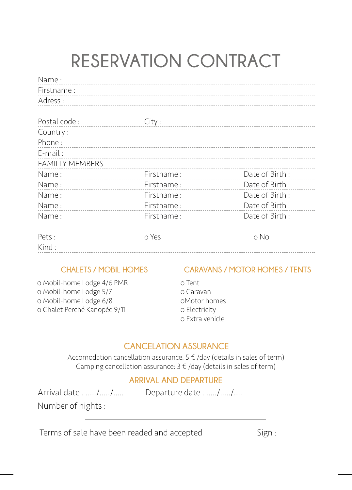## **RESERVATION CONTRACT**

| Name:                  |            |                |
|------------------------|------------|----------------|
| Firstname:             |            |                |
| Adress:                |            |                |
|                        |            |                |
| Postal code:           | City:      |                |
| Country:               |            |                |
| Phone:                 |            |                |
| E-mail:                |            |                |
| <b>FAMILLY MEMBERS</b> |            |                |
| Name:                  | Firstname: | Date of Birth: |
| Name:                  | Firstname: | Date of Birth: |
| Name:                  | Firstname: | Date of Birth: |
| Name:                  | Firstname: | Date of Birth: |
| Name:                  | Firstname: | Date of Birth: |
|                        |            |                |
| Pets:                  | o Yes      | o No           |

#### 0 Mobil-home Lodge 4/6 PMR 0 Mobil-home Lodge 5/7 0 Mobil-home Lodge 6/8 0 Chalet Perché Kanopée 9/11

Kind :

#### **CHALETS / MOBIL HOMES CARAVANS / MOTOR HOMES / TENTS**

0 Tent 0 Caravan 0Motor homes 0 Electricity 0 Extra vehicle

#### **CANCELATION ASSURANCE**

Accomodation cancellation assurance:  $5 \notin /day$  (details in sales of term) Camping cancellation assurance:  $3 \notin /day$  (details in sales of term)

#### **ARRIVAL AND DEPARTURE**

Arrival date : ...../...../..... Departure date : ...../...../....

Number of nights :

Terms of sale have been readed and accepted Sign :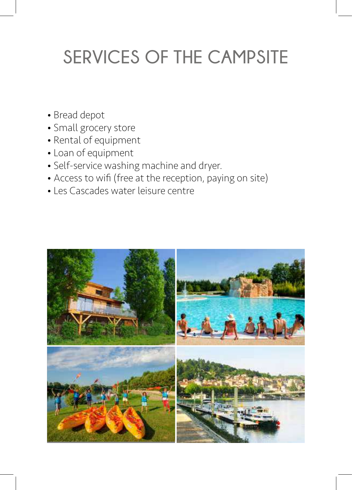## **SERVICES OF THE CAMPSITE**

- Bread depot
- Small grocery store
- Rental of equipment
- Loan of equipment
- Self-service washing machine and dryer.
- Access to wifi (free at the reception, paying on site)
- Les Cascades water leisure centre

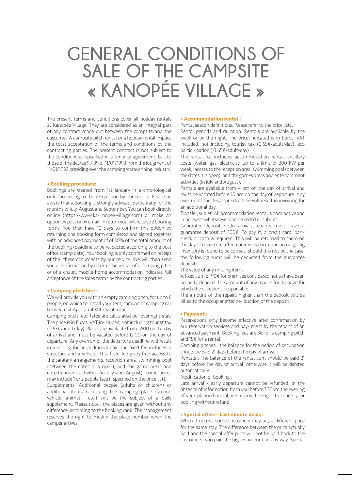## **GENERAL CONDITIONS OF SALE OF THE CAMPSITE « KANOPÉE VILLAGE »**

The present terms and conditions cover all holiday rentals at Kanopée Village. They are considered as an integral part of any contract made out between the campsite and the customer. A campsite pitch rental or a holiday rental implies the total acceptation of the terms and conditions by the contracting parties. The present contract is not subject to the conditions as specified in a tenancy agreement, but to those of the decree 93-39 of 11/01/1993 from the judgment of 11/01/1993 presiding over the camping/caravanning industry.

#### **• Booking procedure:**

Bookings are treated from 1st January in a chronological order according to the recep- tion by our service. Please be aware that a booking is strongly advised, particularly for the months of July, August and September. You can book directly online (https://www.ka- nopee-village.com) or make an option by post or by email. In return you will receive 2 booking forms. You then have 10 days to confirm this option by returning one booking form completed and signed together with an advanced payment of of 30% of the total amount of the booking (deadline to be respected according to the post office stamp date). Your booking is only confirmed on receipt of the these documents by our service. We will then send you a confirmation by return. The rental of a camping pitch or of a chalet, mobile-home accommodation indicates full acceptance of the sales terms by the contracting parties.

#### **• Camping pitch hire :**

We will provide you with an empty camping pitch, for up to 6 people, on which to install your tent, caravan or camping car between 1st April until 30th September.

Camping pitch fee: Rates are calculated per overnight stay. The price is in Euros, VAT in- cluded, not including tourist tax (0.55€/adult/day). Places are available from 12:00 on the day of arrival and must be vacated before 12:00 on the day of departure. Any overrun of the departure deadline will result in invoicing for an additional day. The fixed fee includes: a structure and a vehicle. This fixed fee gives free access to the sanitary arrangements, reception area, swimming pool (between the dates it is open), and the game areas and entertainment activities (in July and August). Some prices may include 1 or 2 people (see if specified on the price list).

Supplements: Additional people (adults or children) or additional items occupying the camping place (second vehicle, animal , etc.) will be the subject of a daily supplement. Please note : the places are given without any difference, according to the booking rank. The Management reserves the right to modify the place number when the camper arrives.

#### **• Accommodation rental :**

Rental season definitions: Please refer to the price lists. Rental periods and duration: Rentals are available by the

week or by the night. The price indicated is in Euros, VAT included, not including tourist tax (0.55€/adult/day), éco partici- pation ( 0.65€/adult-day)

The rental fee includes: accommodation rental, ancillary costs (water, gas, electricity, up to a limit of 200 kW per week), access to the reception area, swimming pool (between the dates it is open), and the games areas and entertainment activities (in July and August).

Rentals are available from 4 pm on the day of arrival and must be vacated before 10 am on the day of departure. Any overrun of the departure deadline will result in invoicing for an additional day.

Transfer, sublet: All accommodation rental is nominative and in no event whatsoever can be ceded or sub-let.

Guarantee deposit : On arrival, tenants must leave a guarantee deposit of 300€. To pay it, a credit card, bank check or cash is required. This will be returned to them on the day of departure after a premises check and an outgoing inventory is found to be correct. Should this not be the case, the following sums will be deducted from the guarantee deposit:

The value of any missing items

A fixed sum of 90€ for premises considered not to have been properly cleaned. The amount of any repairs for damage for which the occupier is responsible.

The amount of the repairs higher than the deposit will be billed to the occupier after de- duction of the deposit.

#### **• Payment :**

Reservations only become effective after confirmation by our reservation services and pay- ment by the tenant of an advanced payment. Booking fees are 3€ for a camping pitch and 15€ for a rental.

Camping pitches : the balance for the period of occupation should be paid 21 days before the day of arrival.

Rentals : The balance of the rental sum should be paid 21 days before the day of arrival, otherwise it will be debited automatically.

Modification of booking :

Late arrival / early departure cannot be refunded. In the absence of information from you before 7.30pm the evening of your planned arrival, we reserve the right to cancel your booking without refund.

#### **• Special offers - Last minute deals :**

When it occurs, some customers may pay a different price for the same stay. The difference between the price actually paid and the special offer price will not be paid back to the customers who paid the higher amount, in any way. Special